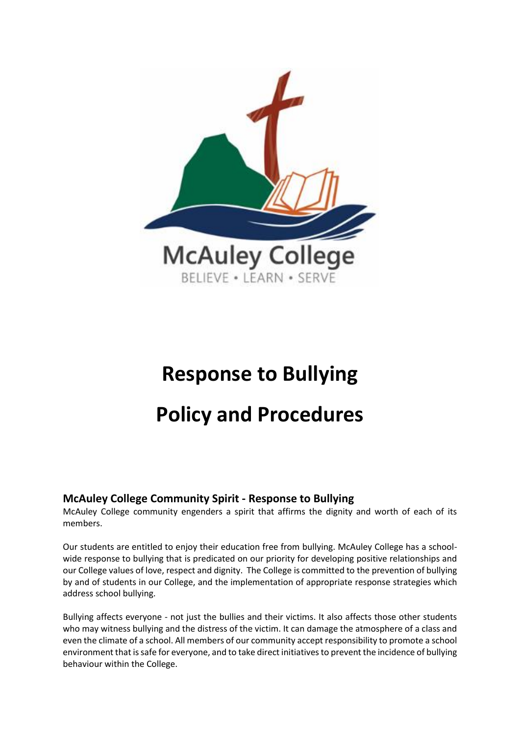

# <span id="page-0-0"></span>**Response to Bullying Policy and Procedures**

## **McAuley College Community Spirit - Response to Bullying**

McAuley College community engenders a spirit that affirms the dignity and worth of each of its members.

Our students are entitled to enjoy their education free from bullying. McAuley College has a schoolwide response to bullying that is predicated on our priority for developing positive relationships and our College values of love, respect and dignity. The College is committed to the prevention of bullying by and of students in our College, and the implementation of appropriate response strategies which address school bullying.

Bullying affects everyone - not just the bullies and their victims. It also affects those other students who may witness bullying and the distress of the victim. It can damage the atmosphere of a class and even the climate of a school. All members of our community accept responsibility to promote a school environment that is safe for everyone, and to take direct initiatives to prevent the incidence of bullying behaviour within the College.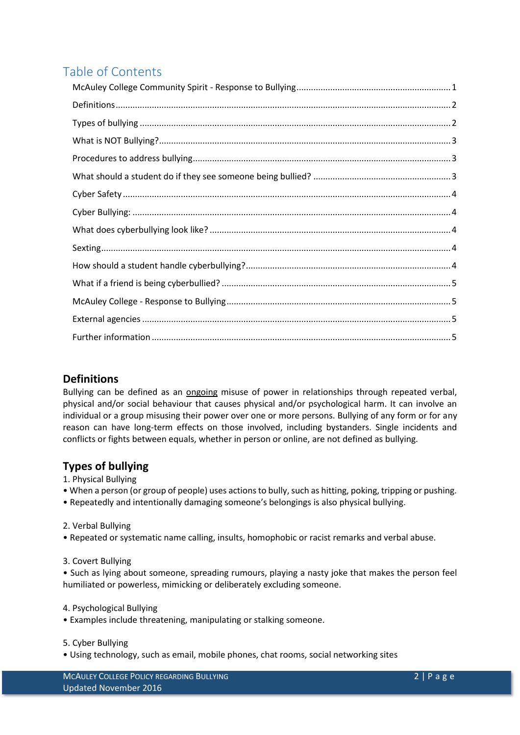## Table of Contents

## <span id="page-1-0"></span>**Definitions**

Bullying can be defined as an ongoing misuse of power in relationships through repeated verbal, physical and/or social behaviour that causes physical and/or psychological harm. It can involve an individual or a group misusing their power over one or more persons. Bullying of any form or for any reason can have long-term effects on those involved, including bystanders. Single incidents and conflicts or fights between equals, whether in person or online, are not defined as bullying.

## <span id="page-1-1"></span>**Types of bullying**

- 1. Physical Bullying
- When a person (or group of people) uses actions to bully, such as hitting, poking, tripping or pushing.
- Repeatedly and intentionally damaging someone's belongings is also physical bullying.

2. Verbal Bullying

- Repeated or systematic name calling, insults, homophobic or racist remarks and verbal abuse.
- 3. Covert Bullying

• Such as lying about someone, spreading rumours, playing a nasty joke that makes the person feel humiliated or powerless, mimicking or deliberately excluding someone.

#### 4. Psychological Bullying

• Examples include threatening, manipulating or stalking someone.

5. Cyber Bullying

• Using technology, such as email, mobile phones, chat rooms, social networking sites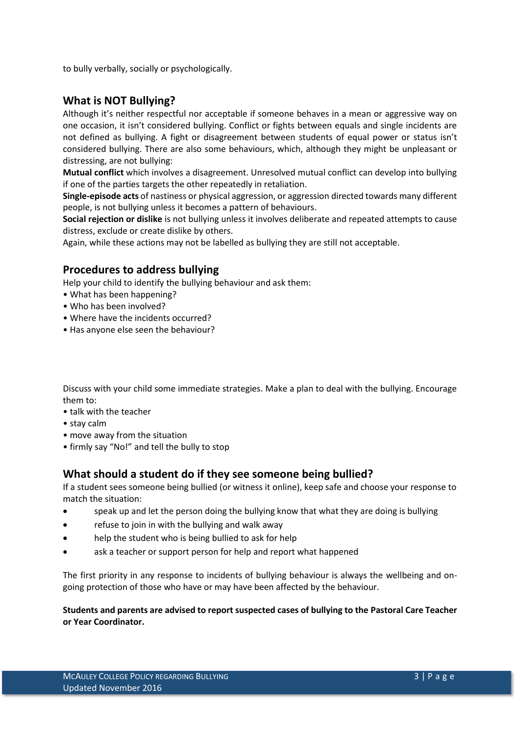to bully verbally, socially or psychologically.

## <span id="page-2-0"></span>**What is NOT Bullying?**

Although it's neither respectful nor acceptable if someone behaves in a mean or aggressive way on one occasion, it isn't considered bullying. Conflict or fights between equals and single incidents are not defined as bullying. A fight or disagreement between students of equal power or status isn't considered bullying. There are also some behaviours, which, although they might be unpleasant or distressing, are not bullying:

**Mutual conflict** which involves a disagreement. Unresolved mutual conflict can develop into bullying if one of the parties targets the other repeatedly in retaliation.

**Single-episode acts** of nastiness or physical aggression, or aggression directed towards many different people, is not bullying unless it becomes a pattern of behaviours.

**Social rejection or dislike** is not bullying unless it involves deliberate and repeated attempts to cause distress, exclude or create dislike by others.

Again, while these actions may not be labelled as bullying they are still not acceptable.

## <span id="page-2-1"></span>**Procedures to address bullying**

Help your child to identify the bullying behaviour and ask them:

- What has been happening?
- Who has been involved?
- Where have the incidents occurred?
- Has anyone else seen the behaviour?

Discuss with your child some immediate strategies. Make a plan to deal with the bullying. Encourage them to:

- talk with the teacher
- stay calm
- move away from the situation
- firmly say "No!" and tell the bully to stop

#### <span id="page-2-2"></span>**What should a student do if they see someone being bullied?**

If a student sees someone being bullied (or witness it online), keep safe and choose your response to match the situation:

- speak up and let the person doing the bullying know that what they are doing is bullying
- refuse to join in with the bullying and walk away
- help the student who is being bullied to ask for help
- ask a teacher or support person for help and report what happened

The first priority in any response to incidents of bullying behaviour is always the wellbeing and ongoing protection of those who have or may have been affected by the behaviour.

#### **Students and parents are advised to report suspected cases of bullying to the Pastoral Care Teacher or Year Coordinator.**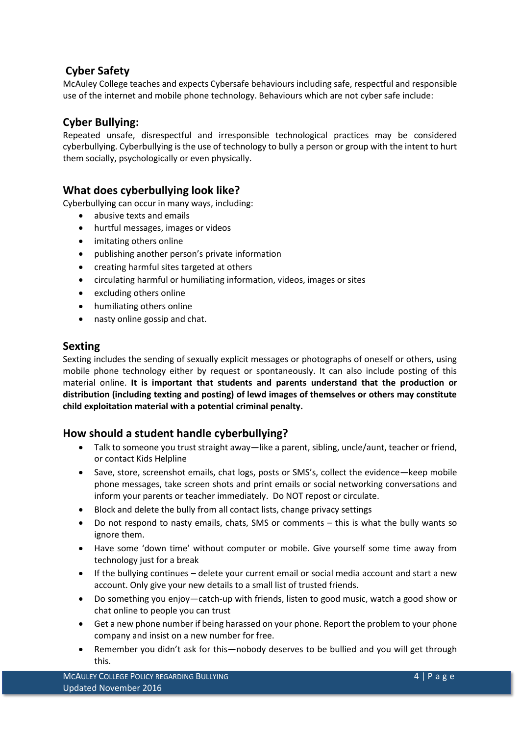## <span id="page-3-0"></span>**Cyber Safety**

McAuley College teaches and expects Cybersafe behaviours including safe, respectful and responsible use of the internet and mobile phone technology. Behaviours which are not cyber safe include:

## <span id="page-3-1"></span>**Cyber Bullying:**

Repeated unsafe, disrespectful and irresponsible technological practices may be considered cyberbullying. Cyberbullying is the use of technology to bully a person or group with the intent to hurt them socially, psychologically or even physically.

## <span id="page-3-2"></span>**What does cyberbullying look like?**

Cyberbullying can occur in many ways, including:

- abusive texts and emails
- hurtful messages, images or videos
- imitating others online
- publishing another person's private information
- creating harmful sites targeted at others
- circulating harmful or humiliating information, videos, images or sites
- excluding others online
- humiliating others online
- nasty online gossip and chat.

#### <span id="page-3-3"></span>**Sexting**

Sexting includes the sending of sexually explicit messages or photographs of oneself or others, using mobile phone technology either by request or spontaneously. It can also include posting of this material online. **It is important that students and parents understand that the production or distribution (including texting and posting) of lewd images of themselves or others may constitute child exploitation material with a potential criminal penalty.**

#### <span id="page-3-4"></span>**How should a student handle cyberbullying?**

- Talk to someone you trust straight away—like a parent, sibling, uncle/aunt, teacher or friend, or contact Kids Helpline
- Save, store, screenshot emails, chat logs, posts or SMS's, collect the evidence—keep mobile phone messages, take screen shots and print emails or social networking conversations and inform your parents or teacher immediately. Do NOT repost or circulate.
- Block and delete the bully from all contact lists, change privacy settings
- Do not respond to nasty emails, chats, SMS or comments this is what the bully wants so ignore them.
- Have some 'down time' without computer or mobile. Give yourself some time away from technology just for a break
- If the bullying continues delete your current email or social media account and start a new account. Only give your new details to a small list of trusted friends.
- Do something you enjoy—catch-up with friends, listen to good music, watch a good show or chat online to people you can trust
- Get a new phone number if being harassed on your phone. Report the problem to your phone company and insist on a new number for free.
- Remember you didn't ask for this—nobody deserves to be bullied and you will get through this.